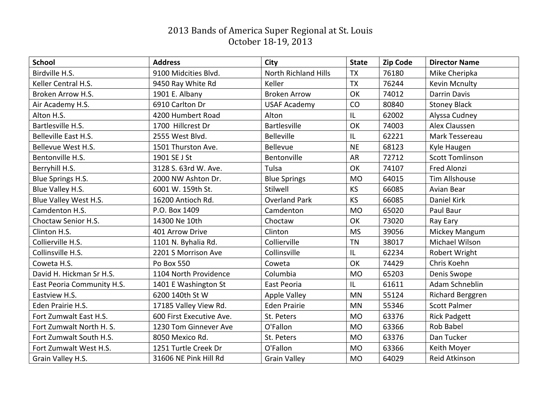## 2013 Bands of America Super Regional at St. Louis October 18-19, 2013

| <b>School</b>              | <b>Address</b>           | City                        | <b>State</b> | <b>Zip Code</b> | <b>Director Name</b>    |
|----------------------------|--------------------------|-----------------------------|--------------|-----------------|-------------------------|
| Birdville H.S.             | 9100 Midcities Blvd.     | <b>North Richland Hills</b> | <b>TX</b>    | 76180           | Mike Cheripka           |
| Keller Central H.S.        | 9450 Ray White Rd        | Keller                      | <b>TX</b>    | 76244           | <b>Kevin Mcnulty</b>    |
| Broken Arrow H.S.          | 1901 E. Albany           | <b>Broken Arrow</b>         | OK           | 74012           | <b>Darrin Davis</b>     |
| Air Academy H.S.           | 6910 Carlton Dr          | <b>USAF Academy</b>         | CO           | 80840           | <b>Stoney Black</b>     |
| Alton H.S.                 | 4200 Humbert Road        | Alton                       | IL           | 62002           | Alyssa Cudney           |
| Bartlesville H.S.          | 1700 Hillcrest Dr        | <b>Bartlesville</b>         | OK           | 74003           | Alex Claussen           |
| Belleville East H.S.       | 2555 West Blvd.          | <b>Belleville</b>           | IL           | 62221           | Mark Tessereau          |
| Bellevue West H.S.         | 1501 Thurston Ave.       | <b>Bellevue</b>             | <b>NE</b>    | 68123           | Kyle Haugen             |
| Bentonville H.S.           | 1901 SE J St             | Bentonville                 | <b>AR</b>    | 72712           | <b>Scott Tomlinson</b>  |
| Berryhill H.S.             | 3128 S. 63rd W. Ave.     | Tulsa                       | OK           | 74107           | Fred Alonzi             |
| Blue Springs H.S.          | 2000 NW Ashton Dr.       | <b>Blue Springs</b>         | <b>MO</b>    | 64015           | <b>Tim Allshouse</b>    |
| Blue Valley H.S.           | 6001 W. 159th St.        | Stilwell                    | <b>KS</b>    | 66085           | <b>Avian Bear</b>       |
| Blue Valley West H.S.      | 16200 Antioch Rd.        | <b>Overland Park</b>        | KS           | 66085           | Daniel Kirk             |
| Camdenton H.S.             | P.O. Box 1409            | Camdenton                   | <b>MO</b>    | 65020           | Paul Baur               |
| Choctaw Senior H.S.        | 14300 Ne 10th            | Choctaw                     | OK           | 73020           | Ray Eary                |
| Clinton H.S.               | 401 Arrow Drive          | Clinton                     | <b>MS</b>    | 39056           | Mickey Mangum           |
| Collierville H.S.          | 1101 N. Byhalia Rd.      | Collierville                | <b>TN</b>    | 38017           | Michael Wilson          |
| Collinsville H.S.          | 2201 S Morrison Ave      | Collinsville                | IL           | 62234           | Robert Wright           |
| Coweta H.S.                | Po Box 550               | Coweta                      | OK           | 74429           | Chris Koehn             |
| David H. Hickman Sr H.S.   | 1104 North Providence    | Columbia                    | <b>MO</b>    | 65203           | Denis Swope             |
| East Peoria Community H.S. | 1401 E Washington St     | East Peoria                 | IL           | 61611           | Adam Schneblin          |
| Eastview H.S.              | 6200 140th St W          | <b>Apple Valley</b>         | <b>MN</b>    | 55124           | <b>Richard Berggren</b> |
| Eden Prairie H.S.          | 17185 Valley View Rd.    | <b>Eden Prairie</b>         | <b>MN</b>    | 55346           | <b>Scott Palmer</b>     |
| Fort Zumwalt East H.S.     | 600 First Executive Ave. | St. Peters                  | <b>MO</b>    | 63376           | <b>Rick Padgett</b>     |
| Fort Zumwalt North H. S.   | 1230 Tom Ginnever Ave    | O'Fallon                    | <b>MO</b>    | 63366           | Rob Babel               |
| Fort Zumwalt South H.S.    | 8050 Mexico Rd.          | St. Peters                  | <b>MO</b>    | 63376           | Dan Tucker              |
| Fort Zumwalt West H.S.     | 1251 Turtle Creek Dr     | O'Fallon                    | <b>MO</b>    | 63366           | Keith Moyer             |
| Grain Valley H.S.          | 31606 NE Pink Hill Rd    | <b>Grain Valley</b>         | <b>MO</b>    | 64029           | Reid Atkinson           |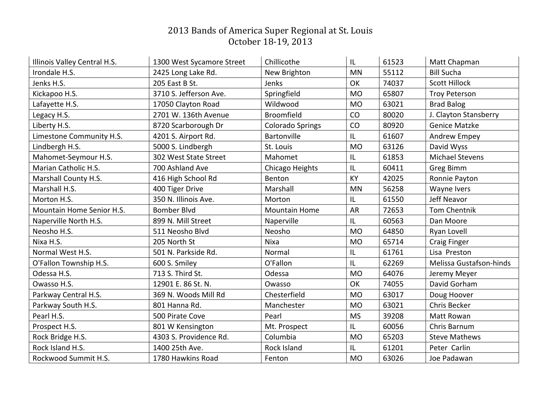## 2013 Bands of America Super Regional at St. Louis October 18-19, 2013

| Illinois Valley Central H.S. | 1300 West Sycamore Street | Chillicothe             | IL        | 61523 | Matt Chapman            |
|------------------------------|---------------------------|-------------------------|-----------|-------|-------------------------|
| Irondale H.S.                | 2425 Long Lake Rd.        | New Brighton            | <b>MN</b> | 55112 | <b>Bill Sucha</b>       |
| Jenks H.S.                   | 205 East B St.            | Jenks                   | OK        | 74037 | <b>Scott Hillock</b>    |
| Kickapoo H.S.                | 3710 S. Jefferson Ave.    | Springfield             | <b>MO</b> | 65807 | <b>Troy Peterson</b>    |
| Lafayette H.S.               | 17050 Clayton Road        | Wildwood                | <b>MO</b> | 63021 | <b>Brad Balog</b>       |
| Legacy H.S.                  | 2701 W. 136th Avenue      | <b>Broomfield</b>       | CO        | 80020 | J. Clayton Stansberry   |
| Liberty H.S.                 | 8720 Scarborough Dr       | <b>Colorado Springs</b> | CO        | 80920 | <b>Genice Matzke</b>    |
| Limestone Community H.S.     | 4201 S. Airport Rd.       | Bartonville             | L         | 61607 | Andrew Empey            |
| Lindbergh H.S.               | 5000 S. Lindbergh         | St. Louis               | <b>MO</b> | 63126 | David Wyss              |
| Mahomet-Seymour H.S.         | 302 West State Street     | Mahomet                 | IL        | 61853 | <b>Michael Stevens</b>  |
| Marian Catholic H.S.         | 700 Ashland Ave           | Chicago Heights         | L         | 60411 | Greg Bimm               |
| Marshall County H.S.         | 416 High School Rd        | Benton                  | KY        | 42025 | Ronnie Payton           |
| Marshall H.S.                | 400 Tiger Drive           | Marshall                | <b>MN</b> | 56258 | Wayne Ivers             |
| Morton H.S.                  | 350 N. Illinois Ave.      | Morton                  | IL        | 61550 | Jeff Neavor             |
| Mountain Home Senior H.S.    | <b>Bomber Blvd</b>        | <b>Mountain Home</b>    | <b>AR</b> | 72653 | Tom Chentnik            |
| Naperville North H.S.        | 899 N. Mill Street        | Naperville              | L         | 60563 | Dan Moore               |
| Neosho H.S.                  | 511 Neosho Blvd           | Neosho                  | <b>MO</b> | 64850 | Ryan Lovell             |
| Nixa H.S.                    | 205 North St              | <b>Nixa</b>             | <b>MO</b> | 65714 | <b>Craig Finger</b>     |
| Normal West H.S.             | 501 N. Parkside Rd.       | Normal                  | IL        | 61761 | Lisa Preston            |
| O'Fallon Township H.S.       | 600 S. Smiley             | O'Fallon                | L         | 62269 | Melissa Gustafson-hinds |
| Odessa H.S.                  | 713 S. Third St.          | Odessa                  | <b>MO</b> | 64076 | Jeremy Meyer            |
| Owasso H.S.                  | 12901 E. 86 St. N.        | Owasso                  | OK        | 74055 | David Gorham            |
| Parkway Central H.S.         | 369 N. Woods Mill Rd      | Chesterfield            | <b>MO</b> | 63017 | Doug Hoover             |
| Parkway South H.S.           | 801 Hanna Rd.             | Manchester              | <b>MO</b> | 63021 | <b>Chris Becker</b>     |
| Pearl H.S.                   | 500 Pirate Cove           | Pearl                   | <b>MS</b> | 39208 | Matt Rowan              |
| Prospect H.S.                | 801 W Kensington          | Mt. Prospect            | IL        | 60056 | Chris Barnum            |
| Rock Bridge H.S.             | 4303 S. Providence Rd.    | Columbia                | <b>MO</b> | 65203 | <b>Steve Mathews</b>    |
| Rock Island H.S.             | 1400 25th Ave.            | <b>Rock Island</b>      | IL        | 61201 | Peter Carlin            |
| Rockwood Summit H.S.         | 1780 Hawkins Road         | Fenton                  | <b>MO</b> | 63026 | Joe Padawan             |